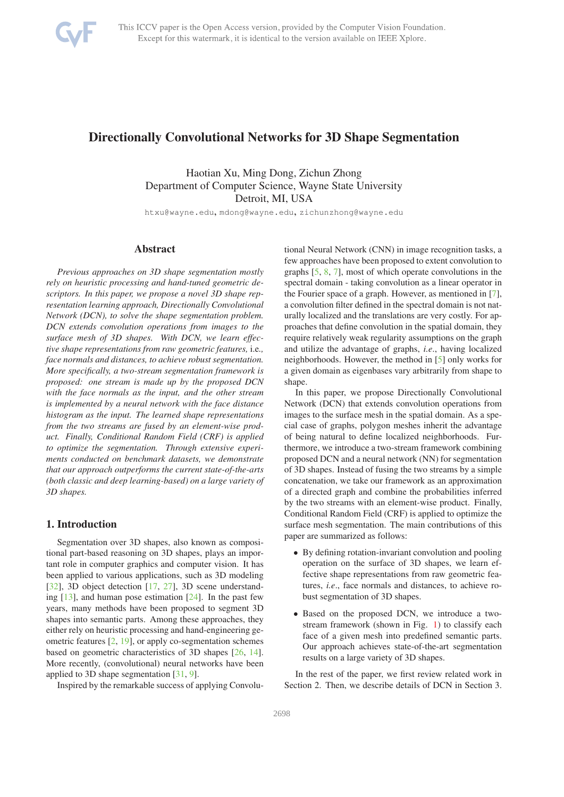

# Directionally Convolutional Networks for 3D Shape Segmentation

Haotian Xu, Ming Dong, Zichun Zhong Department of Computer Science, Wayne State University Detroit, MI, USA

htxu@wayne.edu, mdong@wayne.edu, zichunzhong@wayne.edu

## Abstract

*Previous approaches on 3D shape segmentation mostly rely on heuristic processing and hand-tuned geometric descriptors. In this paper, we propose a novel 3D shape representation learning approach, Directionally Convolutional Network (DCN), to solve the shape segmentation problem. DCN extends convolution operations from images to the surface mesh of 3D shapes. With DCN, we learn effective shape representations from raw geometric features,* i.e*., face normals and distances, to achieve robust segmentation. More specifically, a two-stream segmentation framework is proposed: one stream is made up by the proposed DCN with the face normals as the input, and the other stream is implemented by a neural network with the face distance histogram as the input. The learned shape representations from the two streams are fused by an element-wise product. Finally, Conditional Random Field (CRF) is applied to optimize the segmentation. Through extensive experiments conducted on benchmark datasets, we demonstrate that our approach outperforms the current state-of-the-arts (both classic and deep learning-based) on a large variety of 3D shapes.*

# 1. Introduction

Segmentation over 3D shapes, also known as compositional part-based reasoning on 3D shapes, plays an important role in computer graphics and computer vision. It has been applied to various applications, such as 3D modeling [32], 3D object detection [17, 27], 3D scene understanding  $[13]$ , and human pose estimation  $[24]$ . In the past few years, many methods have been proposed to segment 3D shapes into semantic parts. Among these approaches, they either rely on heuristic processing and hand-engineering geometric features [2, 19], or apply co-segmentation schemes based on geometric characteristics of 3D shapes [26, 14]. More recently, (convolutional) neural networks have been applied to 3D shape segmentation [31, 9].

Inspired by the remarkable success of applying Convolu-

tional Neural Network (CNN) in image recognition tasks, a few approaches have been proposed to extent convolution to graphs [5, 8, 7], most of which operate convolutions in the spectral domain - taking convolution as a linear operator in the Fourier space of a graph. However, as mentioned in [7], a convolution filter defined in the spectral domain is not naturally localized and the translations are very costly. For approaches that define convolution in the spatial domain, they require relatively weak regularity assumptions on the graph and utilize the advantage of graphs, *i.e*., having localized neighborhoods. However, the method in [5] only works for a given domain as eigenbases vary arbitrarily from shape to shape.

In this paper, we propose Directionally Convolutional Network (DCN) that extends convolution operations from images to the surface mesh in the spatial domain. As a special case of graphs, polygon meshes inherit the advantage of being natural to define localized neighborhoods. Furthermore, we introduce a two-stream framework combining proposed DCN and a neural network (NN) for segmentation of 3D shapes. Instead of fusing the two streams by a simple concatenation, we take our framework as an approximation of a directed graph and combine the probabilities inferred by the two streams with an element-wise product. Finally, Conditional Random Field (CRF) is applied to optimize the surface mesh segmentation. The main contributions of this paper are summarized as follows:

- By defining rotation-invariant convolution and pooling operation on the surface of 3D shapes, we learn effective shape representations from raw geometric features, *i.e*., face normals and distances, to achieve robust segmentation of 3D shapes.
- Based on the proposed DCN, we introduce a twostream framework (shown in Fig. 1) to classify each face of a given mesh into predefined semantic parts. Our approach achieves state-of-the-art segmentation results on a large variety of 3D shapes.

In the rest of the paper, we first review related work in Section 2. Then, we describe details of DCN in Section 3.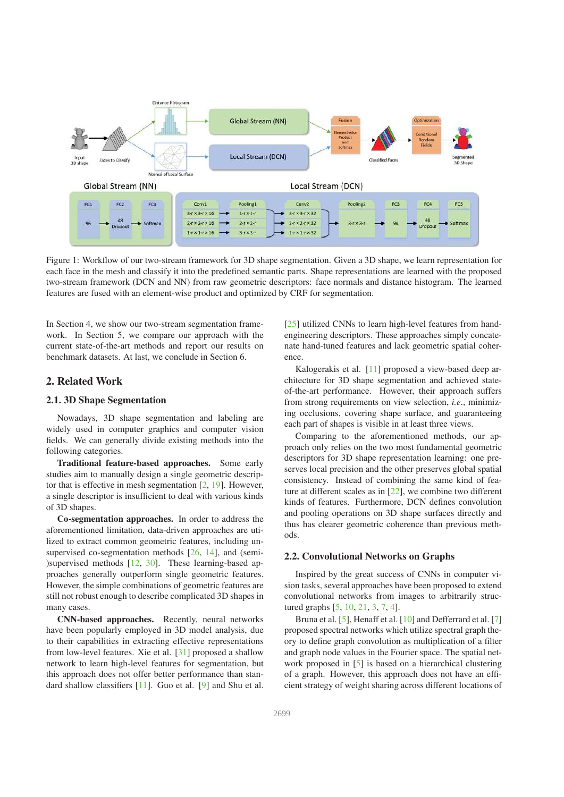

Figure 1: Workflow of our two-stream framework for 3D shape segmentation. Given a 3D shape, we learn representation for each face in the mesh and classify it into the predefined semantic parts. Shape representations are learned with the proposed two-stream framework (DCN and NN) from raw geometric descriptors: face normals and distance histogram. The learned features are fused with an element-wise product and optimized by CRF for segmentation.

In Section 4, we show our two-stream segmentation framework. In Section 5, we compare our approach with the current state-of-the-art methods and report our results on benchmark datasets. At last, we conclude in Section 6.

# 2. Related Work

#### 2.1. 3D Shape Segmentation

Nowadays, 3D shape segmentation and labeling are widely used in computer graphics and computer vision fields. We can generally divide existing methods into the following categories.

Traditional feature-based approaches. Some early studies aim to manually design a single geometric descriptor that is effective in mesh segmentation [2, 19]. However, a single descriptor is insufficient to deal with various kinds of 3D shapes.

Co-segmentation approaches. In order to address the aforementioned limitation, data-driven approaches are utilized to extract common geometric features, including unsupervised co-segmentation methods [26, 14], and (semi-)supervised methods [12, 30]. These learning-based approaches generally outperform single geometric features. However, the simple combinations of geometric features are still not robust enough to describe complicated 3D shapes in many cases.

CNN-based approaches. Recently, neural networks have been popularly employed in 3D model analysis, due to their capabilities in extracting effective representations from low-level features. Xie et al. [31] proposed a shallow network to learn high-level features for segmentation, but this approach does not offer better performance than standard shallow classifiers [11]. Guo et al. [9] and Shu et al. [25] utilized CNNs to learn high-level features from handengineering descriptors. These approaches simply concatenate hand-tuned features and lack geometric spatial coherence.

Kalogerakis et al. [11] proposed a view-based deep architecture for 3D shape segmentation and achieved stateof-the-art performance. However, their approach suffers from strong requirements on view selection, *i.e*., minimizing occlusions, covering shape surface, and guaranteeing each part of shapes is visible in at least three views.

Comparing to the aforementioned methods, our approach only relies on the two most fundamental geometric descriptors for 3D shape representation learning: one preserves local precision and the other preserves global spatial consistency. Instead of combining the same kind of feature at different scales as in [22], we combine two different kinds of features. Furthermore, DCN defines convolution and pooling operations on 3D shape surfaces directly and thus has clearer geometric coherence than previous methods.

#### 2.2. Convolutional Networks on Graphs

Inspired by the great success of CNNs in computer vision tasks, several approaches have been proposed to extend convolutional networks from images to arbitrarily structured graphs [5, 10, 21, 3, 7, 4].

Bruna et al. [5], Henaff et al. [10] and Defferrard et al. [7] proposed spectral networks which utilize spectral graph theory to define graph convolution as multiplication of a filter and graph node values in the Fourier space. The spatial network proposed in [5] is based on a hierarchical clustering of a graph. However, this approach does not have an efficient strategy of weight sharing across different locations of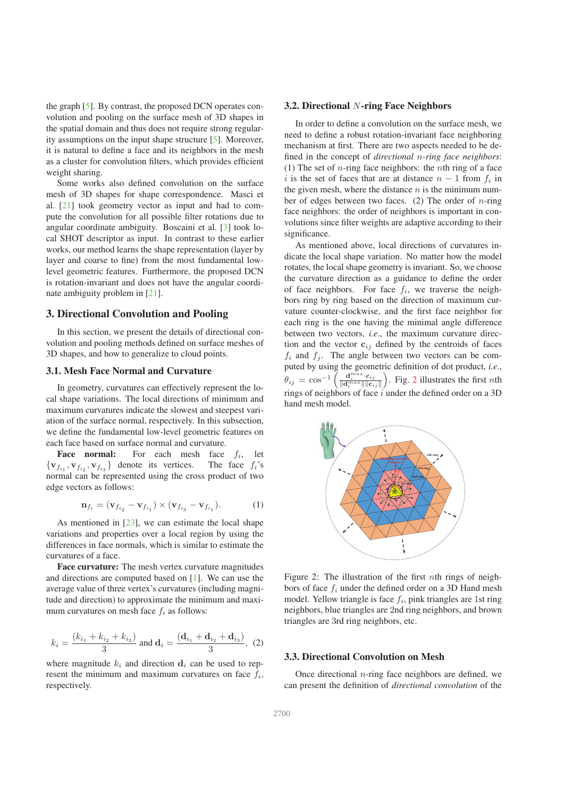the graph [5]. By contrast, the proposed DCN operates convolution and pooling on the surface mesh of 3D shapes in the spatial domain and thus does not require strong regularity assumptions on the input shape structure [5]. Moreover, it is natural to define a face and its neighbors in the mesh as a cluster for convolution filters, which provides efficient weight sharing.

Some works also defined convolution on the surface mesh of 3D shapes for shape correspondence. Masci et al. [21] took geometry vector as input and had to compute the convolution for all possible filter rotations due to angular coordinate ambiguity. Boscaini et al. [3] took local SHOT descriptor as input. In contrast to these earlier works, our method learns the shape representation (layer by layer and coarse to fine) from the most fundamental lowlevel geometric features. Furthermore, the proposed DCN is rotation-invariant and does not have the angular coordinate ambiguity problem in [21].

# 3. Directional Convolution and Pooling

In this section, we present the details of directional convolution and pooling methods defined on surface meshes of 3D shapes, and how to generalize to cloud points.

### 3.1. Mesh Face Normal and Curvature

In geometry, curvatures can effectively represent the local shape variations. The local directions of minimum and maximum curvatures indicate the slowest and steepest variation of the surface normal, respectively. In this subsection, we define the fundamental low-level geometric features on each face based on surface normal and curvature.

**Face normal:** For each mesh face  $f_i$ , let  ${v_{f_{i_1}}, v_{f_{i_2}}, v_{f_{i_3}}}$  denote its vertices. The face  $f_i$ 's normal can be represented using the cross product of two edge vectors as follows:

$$
\mathbf{n}_{f_i} = (\mathbf{v}_{f_{i_2}} - \mathbf{v}_{f_{i_1}}) \times (\mathbf{v}_{f_{i_3}} - \mathbf{v}_{f_{i_1}}). \tag{1}
$$

As mentioned in  $[23]$ , we can estimate the local shape variations and properties over a local region by using the differences in face normals, which is similar to estimate the curvatures of a face.

Face curvature: The mesh vertex curvature magnitudes and directions are computed based on [1]. We can use the average value of three vertex's curvatures (including magnitude and direction) to approximate the minimum and maximum curvatures on mesh face  $f_i$  as follows:

$$
k_i = \frac{(k_{i_1} + k_{i_2} + k_{i_3})}{3} \text{ and } \mathbf{d}_i = \frac{(\mathbf{d}_{i_1} + \mathbf{d}_{i_2} + \mathbf{d}_{i_3})}{3}, (2)
$$

where magnitude  $k_i$  and direction  $\mathbf{d}_i$  can be used to represent the minimum and maximum curvatures on face  $f_i$ , respectively.

#### 3.2. Directional N-ring Face Neighbors

In order to define a convolution on the surface mesh, we need to define a robust rotation-invariant face neighboring mechanism at first. There are two aspects needed to be defined in the concept of *directional* n*-ring face neighbors*: (1) The set of *n*-ring face neighbors: the *n*th ring of a face i is the set of faces that are at distance  $n-1$  from  $f_i$  in the given mesh, where the distance  $n$  is the minimum number of edges between two faces. (2) The order of  $n$ -ring face neighbors: the order of neighbors is important in convolutions since filter weights are adaptive according to their significance.

As mentioned above, local directions of curvatures indicate the local shape variation. No matter how the model rotates, the local shape geometry is invariant. So, we choose the curvature direction as a guidance to define the order of face neighbors. For face  $f_i$ , we traverse the neighbors ring by ring based on the direction of maximum curvature counter-clockwise, and the first face neighbor for each ring is the one having the minimal angle difference between two vectors, *i.e*., the maximum curvature direction and the vector  $c_{ij}$  defined by the centroids of faces  $f_i$  and  $f_j$ . The angle between two vectors can be computed by using the geometric definition of dot product, *i.e*.,  $\theta_{ij} = \cos^{-1}\left(\frac{\mathbf{d}_i^{max} \cdot \mathbf{c}_{ij}}{\|\mathbf{d}_i^{max}\|\|\mathbf{c}_{ij}\|}\right)$ . Fig. 2 illustrates the first *n*th rings of neighbors of face  $i$  under the defined order on a 3D hand mesh model.



Figure 2: The illustration of the first *nth* rings of neighbors of face  $f_i$  under the defined order on a 3D Hand mesh model. Yellow triangle is face  $f_i$ , pink triangles are 1st ring neighbors, blue triangles are 2nd ring neighbors, and brown triangles are 3rd ring neighbors, etc.

# 3.3. Directional Convolution on Mesh

Once directional  $n$ -ring face neighbors are defined, we can present the definition of *directional convolution* of the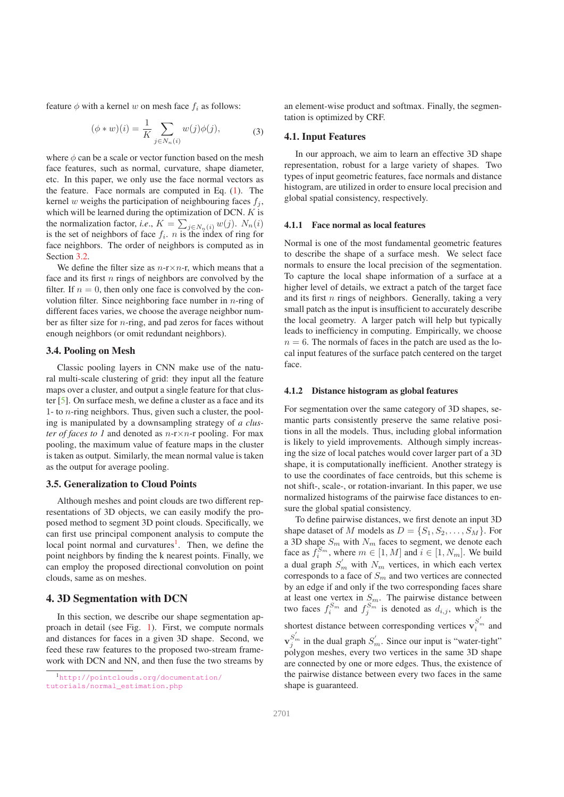feature  $\phi$  with a kernel w on mesh face  $f_i$  as follows:

$$
(\phi * w)(i) = \frac{1}{K} \sum_{j \in N_n(i)} w(j)\phi(j),
$$
 (3)

where  $\phi$  can be a scale or vector function based on the mesh face features, such as normal, curvature, shape diameter, etc. In this paper, we only use the face normal vectors as the feature. Face normals are computed in Eq. (1). The kernel w weighs the participation of neighbouring faces  $f_i$ , which will be learned during the optimization of DCN.  $K$  is the normalization factor, *i.e.*,  $K = \sum_{j \in N_n(i)} w(j)$ .  $N_n(i)$ is the set of neighbors of face  $f_i$ . *n* is the index of ring for face neighbors. The order of neighbors is computed as in Section 3.2.

We define the filter size as  $n-r \times n-r$ , which means that a face and its first *n* rings of neighbors are convolved by the filter. If  $n = 0$ , then only one face is convolved by the convolution filter. Since neighboring face number in  $n$ -ring of different faces varies, we choose the average neighbor number as filter size for n-ring, and pad zeros for faces without enough neighbors (or omit redundant neighbors).

# 3.4. Pooling on Mesh

Classic pooling layers in CNN make use of the natural multi-scale clustering of grid: they input all the feature maps over a cluster, and output a single feature for that cluster [5]. On surface mesh, we define a cluster as a face and its 1- to *n*-ring neighbors. Thus, given such a cluster, the pooling is manipulated by a downsampling strategy of *a cluster of faces to 1* and denoted as  $n-r \times n-r$  pooling. For max pooling, the maximum value of feature maps in the cluster is taken as output. Similarly, the mean normal value is taken as the output for average pooling.

# 3.5. Generalization to Cloud Points

Although meshes and point clouds are two different representations of 3D objects, we can easily modify the proposed method to segment 3D point clouds. Specifically, we can first use principal component analysis to compute the local point normal and curvatures<sup>1</sup>. Then, we define the point neighbors by finding the k nearest points. Finally, we can employ the proposed directional convolution on point clouds, same as on meshes.

# 4. 3D Segmentation with DCN

In this section, we describe our shape segmentation approach in detail (see Fig. 1). First, we compute normals and distances for faces in a given 3D shape. Second, we feed these raw features to the proposed two-stream framework with DCN and NN, and then fuse the two streams by

an element-wise product and softmax. Finally, the segmentation is optimized by CRF.

### 4.1. Input Features

In our approach, we aim to learn an effective 3D shape representation, robust for a large variety of shapes. Two types of input geometric features, face normals and distance histogram, are utilized in order to ensure local precision and global spatial consistency, respectively.

#### 4.1.1 Face normal as local features

Normal is one of the most fundamental geometric features to describe the shape of a surface mesh. We select face normals to ensure the local precision of the segmentation. To capture the local shape information of a surface at a higher level of details, we extract a patch of the target face and its first  $n$  rings of neighbors. Generally, taking a very small patch as the input is insufficient to accurately describe the local geometry. A larger patch will help but typically leads to inefficiency in computing. Empirically, we choose  $n = 6$ . The normals of faces in the patch are used as the local input features of the surface patch centered on the target face.

### 4.1.2 Distance histogram as global features

For segmentation over the same category of 3D shapes, semantic parts consistently preserve the same relative positions in all the models. Thus, including global information is likely to yield improvements. Although simply increasing the size of local patches would cover larger part of a 3D shape, it is computationally inefficient. Another strategy is to use the coordinates of face centroids, but this scheme is not shift-, scale-, or rotation-invariant. In this paper, we use normalized histograms of the pairwise face distances to ensure the global spatial consistency.

To define pairwise distances, we first denote an input 3D shape dataset of M models as  $D = \{S_1, S_2, \ldots, S_M\}$ . For a 3D shape  $S_m$  with  $N_m$  faces to segment, we denote each face as  $f_i^{S_m}$ , where  $m \in [1, M]$  and  $i \in [1, N_m]$ . We build a dual graph  $S'_m$  with  $N_m$  vertices, in which each vertex corresponds to a face of  $S<sub>m</sub>$  and two vertices are connected by an edge if and only if the two corresponding faces share at least one vertex in  $S_m$ . The pairwise distance between two faces  $f_i^{S_m}$  and  $f_j^{S_m}$  is denoted as  $d_{i,j}$ , which is the shortest distance between corresponding vertices  $\mathbf{v}_i^{S'_m}$  and  $\mathbf{v}_{j}^{S'_{m}}$  in the dual graph  $S'_{m}$ . Since our input is "water-tight" polygon meshes, every two vertices in the same 3D shape are connected by one or more edges. Thus, the existence of the pairwise distance between every two faces in the same shape is guaranteed.

<sup>1</sup>http://pointclouds.org/documentation/ tutorials/normal\_estimation.php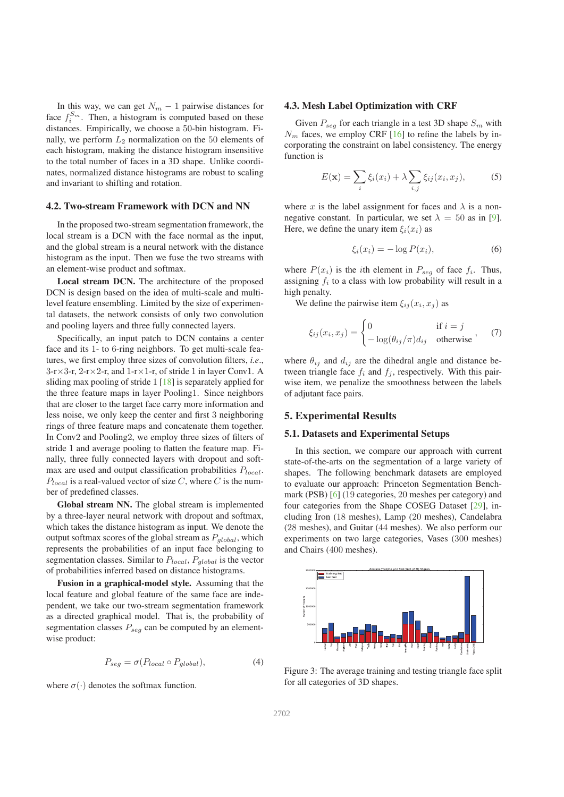In this way, we can get  $N_m - 1$  pairwise distances for face  $f_i^{S_m}$ . Then, a histogram is computed based on these distances. Empirically, we choose a 50-bin histogram. Finally, we perform  $L_2$  normalization on the 50 elements of each histogram, making the distance histogram insensitive to the total number of faces in a 3D shape. Unlike coordinates, normalized distance histograms are robust to scaling and invariant to shifting and rotation.

### 4.2. Two-stream Framework with DCN and NN

In the proposed two-stream segmentation framework, the local stream is a DCN with the face normal as the input, and the global stream is a neural network with the distance histogram as the input. Then we fuse the two streams with an element-wise product and softmax.

Local stream DCN. The architecture of the proposed DCN is design based on the idea of multi-scale and multilevel feature ensembling. Limited by the size of experimental datasets, the network consists of only two convolution and pooling layers and three fully connected layers.

Specifically, an input patch to DCN contains a center face and its 1- to 6-ring neighbors. To get multi-scale features, we first employ three sizes of convolution filters, *i.e*.,  $3-r \times 3-r$ ,  $2-r \times 2-r$ , and  $1-r \times 1-r$ , of stride 1 in layer Conv1. A sliding max pooling of stride 1 [18] is separately applied for the three feature maps in layer Pooling1. Since neighbors that are closer to the target face carry more information and less noise, we only keep the center and first 3 neighboring rings of three feature maps and concatenate them together. In Conv2 and Pooling2, we employ three sizes of filters of stride 1 and average pooling to flatten the feature map. Finally, three fully connected layers with dropout and softmax are used and output classification probabilities  $P_{local}$ .  $P_{local}$  is a real-valued vector of size C, where C is the number of predefined classes.

Global stream NN. The global stream is implemented by a three-layer neural network with dropout and softmax, which takes the distance histogram as input. We denote the output softmax scores of the global stream as  $P_{global}$ , which represents the probabilities of an input face belonging to segmentation classes. Similar to  $P_{local}$ ,  $P_{global}$  is the vector of probabilities inferred based on distance histograms.

Fusion in a graphical-model style. Assuming that the local feature and global feature of the same face are independent, we take our two-stream segmentation framework as a directed graphical model. That is, the probability of segmentation classes  $P_{sea}$  can be computed by an elementwise product:

$$
P_{seg} = \sigma(P_{local} \circ P_{global}), \tag{4}
$$

where  $\sigma(\cdot)$  denotes the softmax function.

### 4.3. Mesh Label Optimization with CRF

Given  $P_{seg}$  for each triangle in a test 3D shape  $S_m$  with  $N_m$  faces, we employ CRF [16] to refine the labels by incorporating the constraint on label consistency. The energy function is

$$
E(\mathbf{x}) = \sum_{i} \xi_i(x_i) + \lambda \sum_{i,j} \xi_{ij}(x_i, x_j),
$$
 (5)

where x is the label assignment for faces and  $\lambda$  is a nonnegative constant. In particular, we set  $\lambda = 50$  as in [9]. Here, we define the unary item  $\xi_i(x_i)$  as

$$
\xi_i(x_i) = -\log P(x_i),\tag{6}
$$

where  $P(x_i)$  is the *i*th element in  $P_{seg}$  of face  $f_i$ . Thus, assigning  $f_i$  to a class with low probability will result in a high penalty.

We define the pairwise item  $\xi_{ij}(x_i, x_j)$  as

$$
\xi_{ij}(x_i, x_j) = \begin{cases} 0 & \text{if } i = j \\ -\log(\theta_{ij}/\pi) d_{ij} & \text{otherwise} \end{cases}, \quad (7)
$$

where  $\theta_{ij}$  and  $d_{ij}$  are the dihedral angle and distance between triangle face  $f_i$  and  $f_j$ , respectively. With this pairwise item, we penalize the smoothness between the labels of adjutant face pairs.

### 5. Experimental Results

### 5.1. Datasets and Experimental Setups

In this section, we compare our approach with current state-of-the-arts on the segmentation of a large variety of shapes. The following benchmark datasets are employed to evaluate our approach: Princeton Segmentation Benchmark (PSB) [6] (19 categories, 20 meshes per category) and four categories from the Shape COSEG Dataset [29], including Iron (18 meshes), Lamp (20 meshes), Candelabra (28 meshes), and Guitar (44 meshes). We also perform our experiments on two large categories, Vases (300 meshes) and Chairs (400 meshes).



Figure 3: The average training and testing triangle face split for all categories of 3D shapes.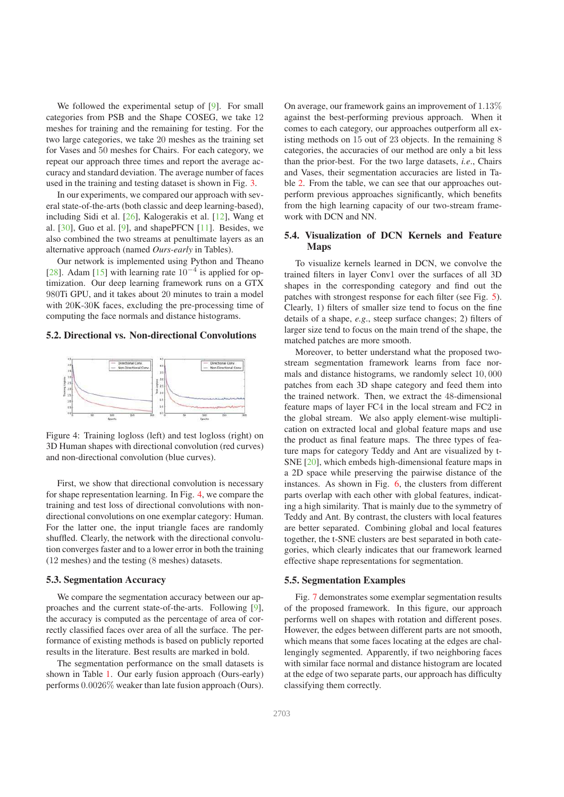We followed the experimental setup of [9]. For small categories from PSB and the Shape COSEG, we take 12 meshes for training and the remaining for testing. For the two large categories, we take 20 meshes as the training set for Vases and 50 meshes for Chairs. For each category, we repeat our approach three times and report the average accuracy and standard deviation. The average number of faces used in the training and testing dataset is shown in Fig. 3.

In our experiments, we compared our approach with several state-of-the-arts (both classic and deep learning-based), including Sidi et al. [26], Kalogerakis et al. [12], Wang et al.  $[30]$ , Guo et al.  $[9]$ , and shapePFCN  $[11]$ . Besides, we also combined the two streams at penultimate layers as an alternative approach (named *Ours-early* in Tables).

Our network is implemented using Python and Theano [28]. Adam [15] with learning rate  $10^{-4}$  is applied for optimization. Our deep learning framework runs on a GTX 980Ti GPU, and it takes about 20 minutes to train a model with 20K-30K faces, excluding the pre-processing time of computing the face normals and distance histograms.

### 5.2. Directional vs. Non-directional Convolutions



Figure 4: Training logloss (left) and test logloss (right) on 3D Human shapes with directional convolution (red curves) and non-directional convolution (blue curves).

First, we show that directional convolution is necessary for shape representation learning. In Fig. 4, we compare the training and test loss of directional convolutions with nondirectional convolutions on one exemplar category: Human. For the latter one, the input triangle faces are randomly shuffled. Clearly, the network with the directional convolution converges faster and to a lower error in both the training (12 meshes) and the testing (8 meshes) datasets.

#### 5.3. Segmentation Accuracy

We compare the segmentation accuracy between our approaches and the current state-of-the-arts. Following [9], the accuracy is computed as the percentage of area of correctly classified faces over area of all the surface. The performance of existing methods is based on publicly reported results in the literature. Best results are marked in bold.

The segmentation performance on the small datasets is shown in Table 1. Our early fusion approach (Ours-early) performs 0.0026% weaker than late fusion approach (Ours).

On average, our framework gains an improvement of 1.13% against the best-performing previous approach. When it comes to each category, our approaches outperform all existing methods on 15 out of 23 objects. In the remaining 8 categories, the accuracies of our method are only a bit less than the prior-best. For the two large datasets, *i.e*., Chairs and Vases, their segmentation accuracies are listed in Table 2. From the table, we can see that our approaches outperform previous approaches significantly, which benefits from the high learning capacity of our two-stream framework with DCN and NN.

# 5.4. Visualization of DCN Kernels and Feature Maps

To visualize kernels learned in DCN, we convolve the trained filters in layer Conv1 over the surfaces of all 3D shapes in the corresponding category and find out the patches with strongest response for each filter (see Fig. 5). Clearly, 1) filters of smaller size tend to focus on the fine details of a shape, *e.g*., steep surface changes; 2) filters of larger size tend to focus on the main trend of the shape, the matched patches are more smooth.

Moreover, to better understand what the proposed twostream segmentation framework learns from face normals and distance histograms, we randomly select 10, 000 patches from each 3D shape category and feed them into the trained network. Then, we extract the 48-dimensional feature maps of layer FC4 in the local stream and FC2 in the global stream. We also apply element-wise multiplication on extracted local and global feature maps and use the product as final feature maps. The three types of feature maps for category Teddy and Ant are visualized by t-SNE [20], which embeds high-dimensional feature maps in a 2D space while preserving the pairwise distance of the instances. As shown in Fig. 6, the clusters from different parts overlap with each other with global features, indicating a high similarity. That is mainly due to the symmetry of Teddy and Ant. By contrast, the clusters with local features are better separated. Combining global and local features together, the t-SNE clusters are best separated in both categories, which clearly indicates that our framework learned effective shape representations for segmentation.

### 5.5. Segmentation Examples

Fig. 7 demonstrates some exemplar segmentation results of the proposed framework. In this figure, our approach performs well on shapes with rotation and different poses. However, the edges between different parts are not smooth, which means that some faces locating at the edges are challengingly segmented. Apparently, if two neighboring faces with similar face normal and distance histogram are located at the edge of two separate parts, our approach has difficulty classifying them correctly.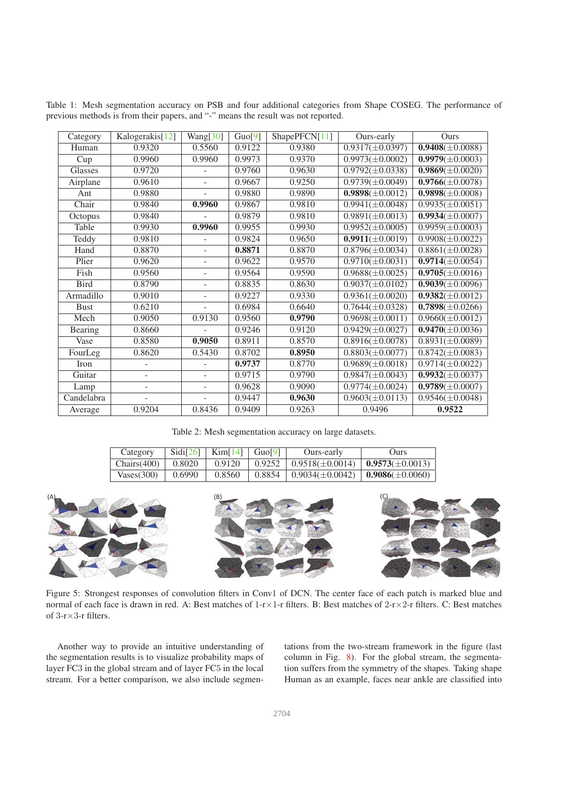| Category    | Kalogerakis[12]          | Wang[30]                 | Guo[9] | ShapePFCN[11] | Ours-early           | <b>Ours</b>                     |
|-------------|--------------------------|--------------------------|--------|---------------|----------------------|---------------------------------|
| Human       | 0.9320                   | 0.5560                   | 0.9122 | 0.9380        | $0.9317(\pm 0.0397)$ | $0.9408(\pm 0.0088)$            |
| Cup         | 0.9960                   | 0.9960                   | 0.9973 | 0.9370        | $0.9973(\pm 0.0002)$ | $0.9979(\pm 0.0003)$            |
| Glasses     | 0.9720                   |                          | 0.9760 | 0.9630        | $0.9792(\pm 0.0338)$ | $0.9869(\pm 0.0020)$            |
| Airplane    | 0.9610                   |                          | 0.9667 | 0.9250        | $0.9739(\pm 0.0049)$ | $0.9766(\pm 0.0078)$            |
| Ant         | 0.9880                   | ÷.                       | 0.9880 | 0.9890        | $0.9898(\pm 0.0012)$ | $0.9898(\pm 0.0008)$            |
| Chair       | 0.9840                   | 0.9960                   | 0.9867 | 0.9810        | $0.9941(\pm 0.0048)$ | $0.9935(\pm 0.0051)$            |
| Octopus     | 0.9840                   |                          | 0.9879 | 0.9810        | $0.9891(\pm 0.0013)$ | $\overline{0.9934(\pm 0.0007)}$ |
| Table       | 0.9930                   | 0.9960                   | 0.9955 | 0.9930        | $0.9952(\pm 0.0005)$ | $0.9959(\pm 0.0003)$            |
| Teddy       | 0.9810                   |                          | 0.9824 | 0.9650        | $0.9911(\pm 0.0019)$ | $0.9908(\pm 0.0022)$            |
| Hand        | 0.8870                   | ÷.                       | 0.8871 | 0.8870        | $0.8796(\pm 0.0034)$ | $0.8861(\pm 0.0028)$            |
| Plier       | 0.9620                   | ÷.                       | 0.9622 | 0.9570        | $0.9710(\pm 0.0031)$ | $\overline{0.9714}(\pm 0.0054)$ |
| Fish        | 0.9560                   | $\overline{\phantom{0}}$ | 0.9564 | 0.9590        | $0.9688(\pm 0.0025)$ | $0.9705(\pm 0.0016)$            |
| <b>Bird</b> | 0.8790                   | ٠                        | 0.8835 | 0.8630        | $0.9037(\pm 0.0102)$ | $\overline{0.9039}(\pm 0.0096)$ |
| Armadillo   | 0.9010                   | $\overline{\phantom{0}}$ | 0.9227 | 0.9330        | $0.9361(\pm 0.0020)$ | $0.9382(\pm 0.0012)$            |
| <b>Bust</b> | 0.6210                   | ÷.                       | 0.6984 | 0.6640        | $0.7644(\pm 0.0328)$ | $0.7898(\pm 0.0266)$            |
| Mech        | 0.9050                   | 0.9130                   | 0.9560 | 0.9790        | $0.9698(\pm 0.0011)$ | $0.9660(\pm 0.0012)$            |
| Bearing     | 0.8660                   |                          | 0.9246 | 0.9120        | $0.9429(\pm 0.0027)$ | $0.9470(\pm 0.0036)$            |
| Vase        | 0.8580                   | 0.9050                   | 0.8911 | 0.8570        | $0.8916(\pm 0.0078)$ | $0.8931(\pm 0.0089)$            |
| FourLeg     | 0.8620                   | 0.5430                   | 0.8702 | 0.8950        | $0.8803(\pm 0.0077)$ | $0.8742(\pm 0.0083)$            |
| Iron        |                          |                          | 0.9737 | 0.8770        | $0.9689(\pm 0.0018)$ | $0.9714(\pm 0.0022)$            |
| Guitar      | $\overline{a}$           |                          | 0.9715 | 0.9790        | $0.9847(\pm 0.0043)$ | $0.9932(\pm 0.0037)$            |
| Lamp        | $\overline{\phantom{0}}$ | Ξ.                       | 0.9628 | 0.9090        | $0.9774(\pm 0.0024)$ | $0.9789(\pm 0.0007)$            |
| Candelabra  |                          |                          | 0.9447 | 0.9630        | $0.9603(\pm 0.0113)$ | $0.9546(\pm 0.0048)$            |
| Average     | 0.9204                   | 0.8436                   | 0.9409 | 0.9263        | 0.9496               | 0.9522                          |

Table 1: Mesh segmentation accuracy on PSB and four additional categories from Shape COSEG. The performance of previous methods is from their papers, and "-" means the result was not reported.

Table 2: Mesh segmentation accuracy on large datasets.

| Category    | Sidi[26] | $\operatorname{Kim}[14]$ Guol <sup>9</sup> | Ours-early                                                                      | Ours) |
|-------------|----------|--------------------------------------------|---------------------------------------------------------------------------------|-------|
| Chairs(400) | 0.8020   | 0.9120                                     | $\mid$ 0.9252 $\mid$ 0.9518( $\pm$ 0.0014) $\mid$ <b>0.9573</b> ( $\pm$ 0.0013) |       |
| Vases(300)  | 0.6990   | 0.8560                                     | $0.8854 \pm 0.9034(\pm 0.0042) \pm 0.9086(\pm 0.0060)$                          |       |



Figure 5: Strongest responses of convolution filters in Conv1 of DCN. The center face of each patch is marked blue and normal of each face is drawn in red. A: Best matches of 1-r×1-r filters. B: Best matches of 2-r×2-r filters. C: Best matches of 3-r×3-r filters.

Another way to provide an intuitive understanding of the segmentation results is to visualize probability maps of layer FC3 in the global stream and of layer FC5 in the local stream. For a better comparison, we also include segmentations from the two-stream framework in the figure (last column in Fig. 8). For the global stream, the segmentation suffers from the symmetry of the shapes. Taking shape Human as an example, faces near ankle are classified into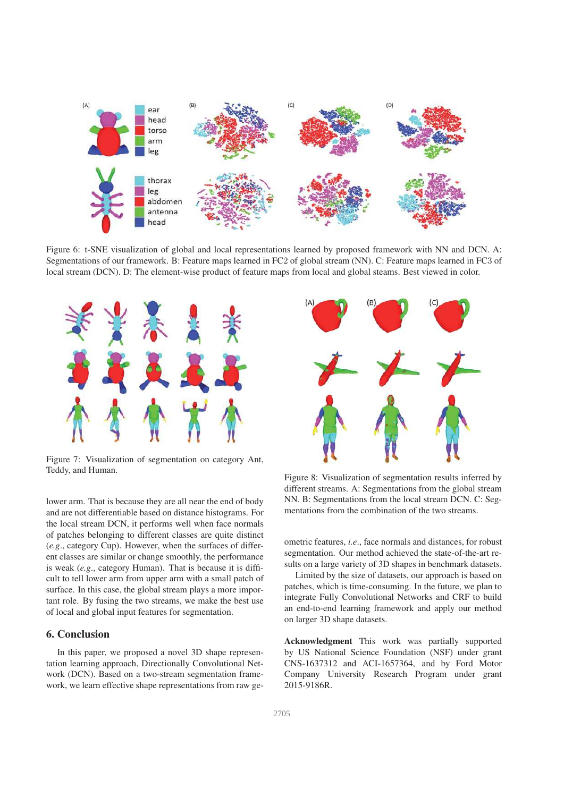

Figure 6: t-SNE visualization of global and local representations learned by proposed framework with NN and DCN. A: Segmentations of our framework. B: Feature maps learned in FC2 of global stream (NN). C: Feature maps learned in FC3 of local stream (DCN). D: The element-wise product of feature maps from local and global steams. Best viewed in color.



Figure 7: Visualization of segmentation on category Ant, Teddy, and Human.

lower arm. That is because they are all near the end of body and are not differentiable based on distance histograms. For the local stream DCN, it performs well when face normals of patches belonging to different classes are quite distinct (*e.g*., category Cup). However, when the surfaces of different classes are similar or change smoothly, the performance is weak (*e.g*., category Human). That is because it is difficult to tell lower arm from upper arm with a small patch of surface. In this case, the global stream plays a more important role. By fusing the two streams, we make the best use of local and global input features for segmentation.

## 6. Conclusion

In this paper, we proposed a novel 3D shape representation learning approach, Directionally Convolutional Network (DCN). Based on a two-stream segmentation framework, we learn effective shape representations from raw ge-



Figure 8: Visualization of segmentation results inferred by different streams. A: Segmentations from the global stream NN. B: Segmentations from the local stream DCN. C: Segmentations from the combination of the two streams.

ometric features, *i.e*., face normals and distances, for robust segmentation. Our method achieved the state-of-the-art results on a large variety of 3D shapes in benchmark datasets.

Limited by the size of datasets, our approach is based on patches, which is time-consuming. In the future, we plan to integrate Fully Convolutional Networks and CRF to build an end-to-end learning framework and apply our method on larger 3D shape datasets.

Acknowledgment This work was partially supported by US National Science Foundation (NSF) under grant CNS-1637312 and ACI-1657364, and by Ford Motor Company University Research Program under grant 2015-9186R.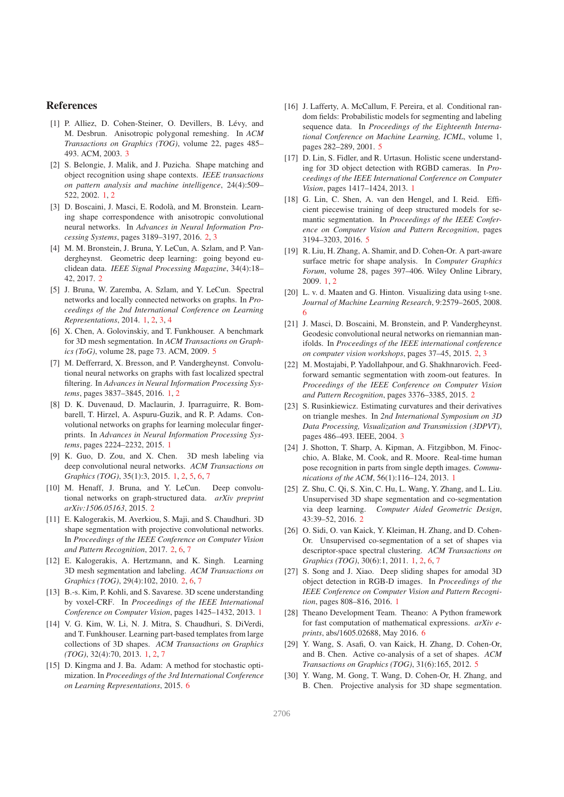### References

- [1] P. Alliez, D. Cohen-Steiner, O. Devillers, B. Lévy, and M. Desbrun. Anisotropic polygonal remeshing. In *ACM Transactions on Graphics (TOG)*, volume 22, pages 485– 493. ACM, 2003. 3
- [2] S. Belongie, J. Malik, and J. Puzicha. Shape matching and object recognition using shape contexts. *IEEE transactions on pattern analysis and machine intelligence*, 24(4):509– 522, 2002. 1, 2
- [3] D. Boscaini, J. Masci, E. Rodolà, and M. Bronstein. Learning shape correspondence with anisotropic convolutional neural networks. In *Advances in Neural Information Processing Systems*, pages 3189–3197, 2016. 2, 3
- [4] M. M. Bronstein, J. Bruna, Y. LeCun, A. Szlam, and P. Vandergheynst. Geometric deep learning: going beyond euclidean data. *IEEE Signal Processing Magazine*, 34(4):18– 42, 2017. 2
- [5] J. Bruna, W. Zaremba, A. Szlam, and Y. LeCun. Spectral networks and locally connected networks on graphs. In *Proceedings of the 2nd International Conference on Learning Representations*, 2014. 1, 2, 3, 4
- [6] X. Chen, A. Golovinskiy, and T. Funkhouser. A benchmark for 3D mesh segmentation. In *ACM Transactions on Graphics (ToG)*, volume 28, page 73. ACM, 2009. 5
- [7] M. Defferrard, X. Bresson, and P. Vandergheynst. Convolutional neural networks on graphs with fast localized spectral filtering. In *Advances in Neural Information Processing Systems*, pages 3837–3845, 2016. 1, 2
- [8] D. K. Duvenaud, D. Maclaurin, J. Iparraguirre, R. Bombarell, T. Hirzel, A. Aspuru-Guzik, and R. P. Adams. Convolutional networks on graphs for learning molecular fingerprints. In *Advances in Neural Information Processing Systems*, pages 2224–2232, 2015. 1
- [9] K. Guo, D. Zou, and X. Chen. 3D mesh labeling via deep convolutional neural networks. *ACM Transactions on Graphics (TOG)*, 35(1):3, 2015. 1, 2, 5, 6, 7
- [10] M. Henaff, J. Bruna, and Y. LeCun. Deep convolutional networks on graph-structured data. *arXiv preprint arXiv:1506.05163*, 2015. 2
- [11] E. Kalogerakis, M. Averkiou, S. Maji, and S. Chaudhuri. 3D shape segmentation with projective convolutional networks. In *Proceedings of the IEEE Conference on Computer Vision and Pattern Recognition*, 2017. 2, 6, 7
- [12] E. Kalogerakis, A. Hertzmann, and K. Singh. Learning 3D mesh segmentation and labeling. *ACM Transactions on Graphics (TOG)*, 29(4):102, 2010. 2, 6, 7
- [13] B.-s. Kim, P. Kohli, and S. Savarese. 3D scene understanding by voxel-CRF. In *Proceedings of the IEEE International Conference on Computer Vision*, pages 1425–1432, 2013. 1
- [14] V. G. Kim, W. Li, N. J. Mitra, S. Chaudhuri, S. DiVerdi, and T. Funkhouser. Learning part-based templates from large collections of 3D shapes. *ACM Transactions on Graphics (TOG)*, 32(4):70, 2013. 1, 2, 7
- [15] D. Kingma and J. Ba. Adam: A method for stochastic optimization. In *Proceedings of the 3rd International Conference on Learning Representations*, 2015. 6
- [16] J. Lafferty, A. McCallum, F. Pereira, et al. Conditional random fields: Probabilistic models for segmenting and labeling sequence data. In *Proceedings of the Eighteenth International Conference on Machine Learning, ICML*, volume 1, pages 282–289, 2001. 5
- [17] D. Lin, S. Fidler, and R. Urtasun. Holistic scene understanding for 3D object detection with RGBD cameras. In *Proceedings of the IEEE International Conference on Computer Vision*, pages 1417–1424, 2013. 1
- [18] G. Lin, C. Shen, A. van den Hengel, and I. Reid. Efficient piecewise training of deep structured models for semantic segmentation. In *Proceedings of the IEEE Conference on Computer Vision and Pattern Recognition*, pages 3194–3203, 2016. 5
- [19] R. Liu, H. Zhang, A. Shamir, and D. Cohen-Or. A part-aware surface metric for shape analysis. In *Computer Graphics Forum*, volume 28, pages 397–406. Wiley Online Library, 2009. 1, 2
- [20] L. v. d. Maaten and G. Hinton. Visualizing data using t-sne. *Journal of Machine Learning Research*, 9:2579–2605, 2008. 6
- [21] J. Masci, D. Boscaini, M. Bronstein, and P. Vandergheynst. Geodesic convolutional neural networks on riemannian manifolds. In *Proceedings of the IEEE international conference on computer vision workshops*, pages 37–45, 2015. 2, 3
- [22] M. Mostajabi, P. Yadollahpour, and G. Shakhnarovich. Feedforward semantic segmentation with zoom-out features. In *Proceedings of the IEEE Conference on Computer Vision and Pattern Recognition*, pages 3376–3385, 2015. 2
- [23] S. Rusinkiewicz. Estimating curvatures and their derivatives on triangle meshes. In *2nd International Symposium on 3D Data Processing, Visualization and Transmission (3DPVT)*, pages 486–493. IEEE, 2004. 3
- [24] J. Shotton, T. Sharp, A. Kipman, A. Fitzgibbon, M. Finocchio, A. Blake, M. Cook, and R. Moore. Real-time human pose recognition in parts from single depth images. *Communications of the ACM*, 56(1):116–124, 2013. 1
- [25] Z. Shu, C. Qi, S. Xin, C. Hu, L. Wang, Y. Zhang, and L. Liu. Unsupervised 3D shape segmentation and co-segmentation via deep learning. *Computer Aided Geometric Design*, 43:39–52, 2016. 2
- [26] O. Sidi, O. van Kaick, Y. Kleiman, H. Zhang, and D. Cohen-Or. Unsupervised co-segmentation of a set of shapes via descriptor-space spectral clustering. *ACM Transactions on Graphics (TOG)*, 30(6):1, 2011. 1, 2, 6, 7
- [27] S. Song and J. Xiao. Deep sliding shapes for amodal 3D object detection in RGB-D images. In *Proceedings of the IEEE Conference on Computer Vision and Pattern Recognition*, pages 808–816, 2016. 1
- [28] Theano Development Team. Theano: A Python framework for fast computation of mathematical expressions. *arXiv eprints*, abs/1605.02688, May 2016. 6
- [29] Y. Wang, S. Asafi, O. van Kaick, H. Zhang, D. Cohen-Or, and B. Chen. Active co-analysis of a set of shapes. *ACM Transactions on Graphics (TOG)*, 31(6):165, 2012. 5
- [30] Y. Wang, M. Gong, T. Wang, D. Cohen-Or, H. Zhang, and B. Chen. Projective analysis for 3D shape segmentation.